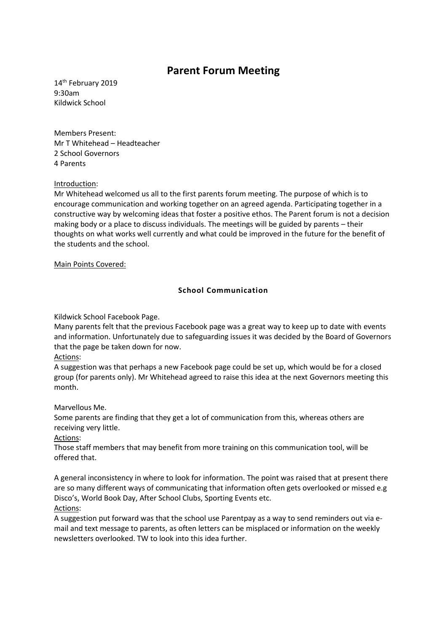# **Parent Forum Meeting**

14<sup>th</sup> February 2019 9:30am Kildwick School

Members Present: Mr T Whitehead – Headteacher 2 School Governors 4 Parents

## Introduction:

Mr Whitehead welcomed us all to the first parents forum meeting. The purpose of which is to encourage communication and working together on an agreed agenda. Participating together in a constructive way by welcoming ideas that foster a positive ethos. The Parent forum is not a decision making body or a place to discuss individuals. The meetings will be guided by parents – their thoughts on what works well currently and what could be improved in the future for the benefit of the students and the school.

### Main Points Covered:

# **School Communication**

Kildwick School Facebook Page.

Many parents felt that the previous Facebook page was a great way to keep up to date with events and information. Unfortunately due to safeguarding issues it was decided by the Board of Governors that the page be taken down for now.

### Actions:

A suggestion was that perhaps a new Facebook page could be set up, which would be for a closed group (for parents only). Mr Whitehead agreed to raise this idea at the next Governors meeting this month.

Marvellous Me.

Some parents are finding that they get a lot of communication from this, whereas others are receiving very little.

Actions:

Those staff members that may benefit from more training on this communication tool, will be offered that.

A general inconsistency in where to look for information. The point was raised that at present there are so many different ways of communicating that information often gets overlooked or missed e.g Disco's, World Book Day, After School Clubs, Sporting Events etc. Actions:

A suggestion put forward was that the school use Parentpay as a way to send reminders out via email and text message to parents, as often letters can be misplaced or information on the weekly newsletters overlooked. TW to look into this idea further.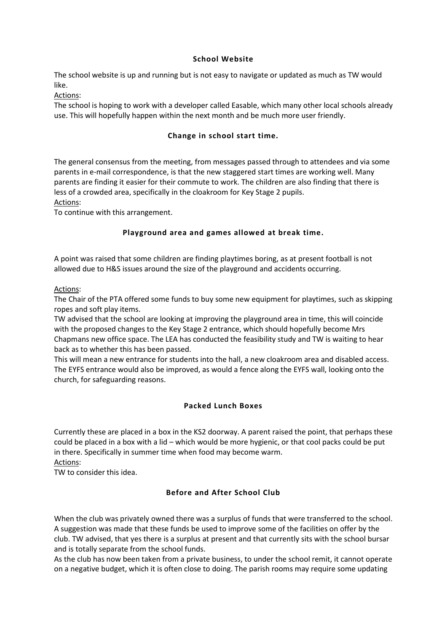## **School Website**

The school website is up and running but is not easy to navigate or updated as much as TW would like.

# Actions:

The school is hoping to work with a developer called Easable, which many other local schools already use. This will hopefully happen within the next month and be much more user friendly.

# **Change in school start time.**

The general consensus from the meeting, from messages passed through to attendees and via some parents in e-mail correspondence, is that the new staggered start times are working well. Many parents are finding it easier for their commute to work. The children are also finding that there is less of a crowded area, specifically in the cloakroom for Key Stage 2 pupils.

Actions:

To continue with this arrangement.

# **Playground area and games allowed at break time.**

A point was raised that some children are finding playtimes boring, as at present football is not allowed due to H&S issues around the size of the playground and accidents occurring.

## Actions:

The Chair of the PTA offered some funds to buy some new equipment for playtimes, such as skipping ropes and soft play items.

TW advised that the school are looking at improving the playground area in time, this will coincide with the proposed changes to the Key Stage 2 entrance, which should hopefully become Mrs Chapmans new office space. The LEA has conducted the feasibility study and TW is waiting to hear back as to whether this has been passed.

This will mean a new entrance for students into the hall, a new cloakroom area and disabled access. The EYFS entrance would also be improved, as would a fence along the EYFS wall, looking onto the church, for safeguarding reasons.

# **Packed Lunch Boxes**

Currently these are placed in a box in the KS2 doorway. A parent raised the point, that perhaps these could be placed in a box with a lid – which would be more hygienic, or that cool packs could be put in there. Specifically in summer time when food may become warm.

Actions:

TW to consider this idea.

# **Before and After School Club**

When the club was privately owned there was a surplus of funds that were transferred to the school. A suggestion was made that these funds be used to improve some of the facilities on offer by the club. TW advised, that yes there is a surplus at present and that currently sits with the school bursar and is totally separate from the school funds.

As the club has now been taken from a private business, to under the school remit, it cannot operate on a negative budget, which it is often close to doing. The parish rooms may require some updating